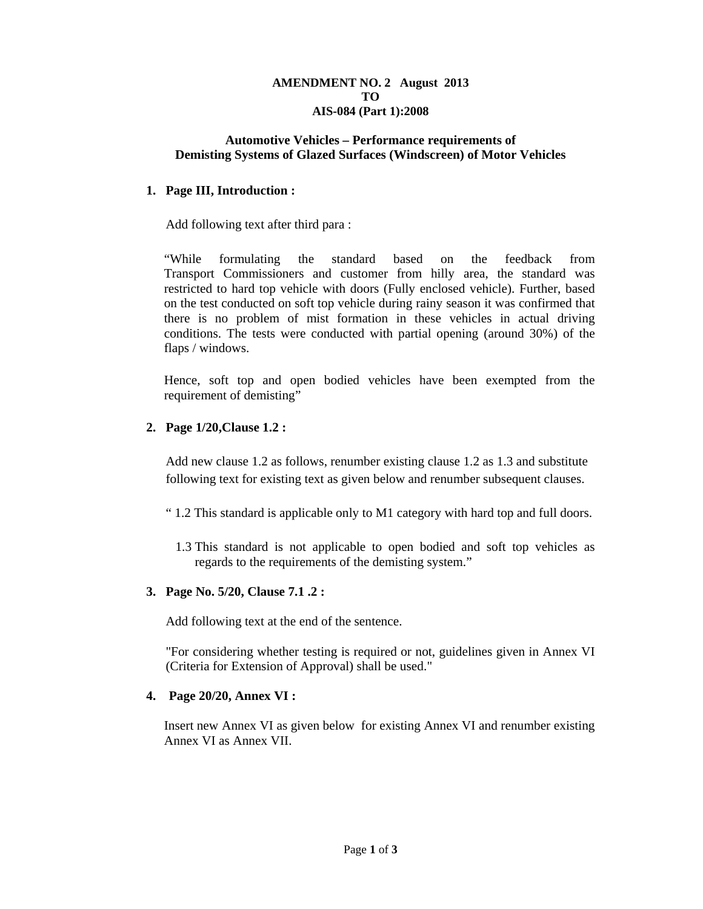#### **AMENDMENT NO. 2 August 2013 TO AIS-084 (Part 1):2008**

## **Automotive Vehicles – Performance requirements of Demisting Systems of Glazed Surfaces (Windscreen) of Motor Vehicles**

## **1. Page III, Introduction :**

Add following text after third para :

"While formulating the standard based on the feedback from Transport Commissioners and customer from hilly area, the standard was restricted to hard top vehicle with doors (Fully enclosed vehicle). Further, based on the test conducted on soft top vehicle during rainy season it was confirmed that there is no problem of mist formation in these vehicles in actual driving conditions. The tests were conducted with partial opening (around 30%) of the flaps / windows.

Hence, soft top and open bodied vehicles have been exempted from the requirement of demisting"

## **2. Page 1/20,Clause 1.2 :**

Add new clause 1.2 as follows, renumber existing clause 1.2 as 1.3 and substitute following text for existing text as given below and renumber subsequent clauses.

- " 1.2 This standard is applicable only to M1 category with hard top and full doors.
	- 1.3 This standard is not applicable to open bodied and soft top vehicles as regards to the requirements of the demisting system."

## **3. Page No. 5/20, Clause 7.1 .2 :**

Add following text at the end of the sentence.

"For considering whether testing is required or not, guidelines given in Annex VI (Criteria for Extension of Approval) shall be used."

## **4. Page 20/20, Annex VI :**

Insert new Annex VI as given below for existing Annex VI and renumber existing Annex VI as Annex VII.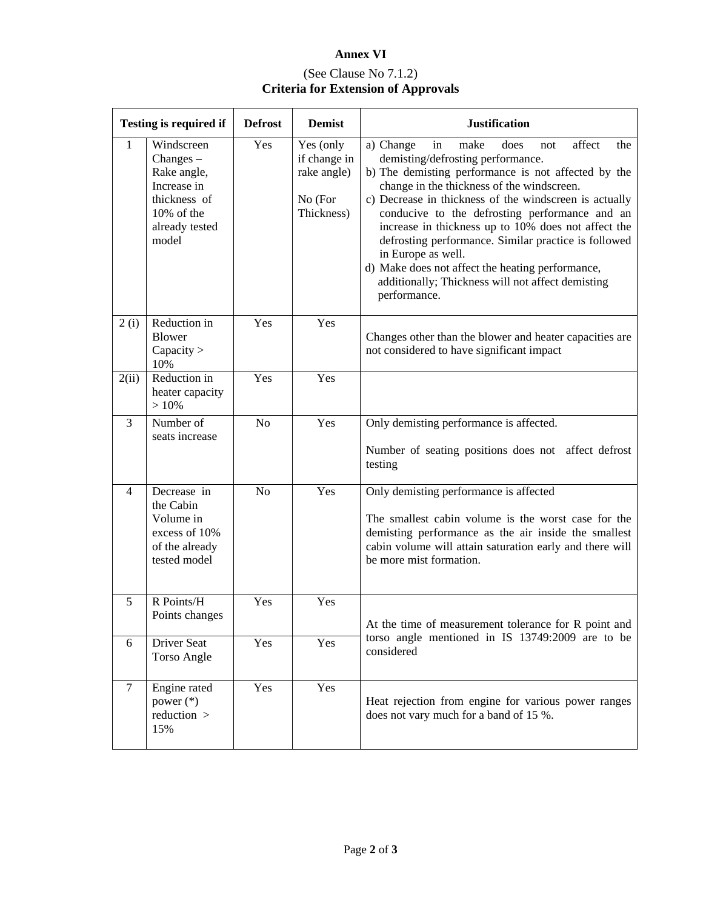# **Annex VI**  (See Clause No 7.1.2) **Criteria for Extension of Approvals**

| <b>Testing is required if</b> |                                                                                                                  | <b>Defrost</b> | <b>Demist</b>                                                     | <b>Justification</b>                                                                                                                                                                                                                                                                                                                                                                                                                                                                                                                                                        |  |
|-------------------------------|------------------------------------------------------------------------------------------------------------------|----------------|-------------------------------------------------------------------|-----------------------------------------------------------------------------------------------------------------------------------------------------------------------------------------------------------------------------------------------------------------------------------------------------------------------------------------------------------------------------------------------------------------------------------------------------------------------------------------------------------------------------------------------------------------------------|--|
| $\mathbf{1}$                  | Windscreen<br>$Changes -$<br>Rake angle,<br>Increase in<br>thickness of<br>10% of the<br>already tested<br>model | Yes            | Yes (only<br>if change in<br>rake angle)<br>No (For<br>Thickness) | affect<br>a) Change<br>make<br>the<br>in<br>does<br>not<br>demisting/defrosting performance.<br>b) The demisting performance is not affected by the<br>change in the thickness of the windscreen.<br>c) Decrease in thickness of the windscreen is actually<br>conducive to the defrosting performance and an<br>increase in thickness up to 10% does not affect the<br>defrosting performance. Similar practice is followed<br>in Europe as well.<br>d) Make does not affect the heating performance,<br>additionally; Thickness will not affect demisting<br>performance. |  |
| 2(i)                          | Reduction in<br><b>Blower</b><br>Capacity $>$<br>10%                                                             | Yes            | Yes                                                               | Changes other than the blower and heater capacities are<br>not considered to have significant impact                                                                                                                                                                                                                                                                                                                                                                                                                                                                        |  |
| 2(ii)                         | Reduction in<br>heater capacity<br>>10%                                                                          | Yes            | Yes                                                               |                                                                                                                                                                                                                                                                                                                                                                                                                                                                                                                                                                             |  |
| 3                             | Number of<br>seats increase                                                                                      | N <sub>o</sub> | Yes                                                               | Only demisting performance is affected.<br>Number of seating positions does not affect defrost<br>testing                                                                                                                                                                                                                                                                                                                                                                                                                                                                   |  |
| $\overline{4}$                | Decrease in<br>the Cabin<br>Volume in<br>excess of 10%<br>of the already<br>tested model                         | N <sub>o</sub> | Yes                                                               | Only demisting performance is affected<br>The smallest cabin volume is the worst case for the<br>demisting performance as the air inside the smallest<br>cabin volume will attain saturation early and there will<br>be more mist formation.                                                                                                                                                                                                                                                                                                                                |  |
| 5                             | R Points/H<br>Points changes                                                                                     | Yes            | Yes                                                               | At the time of measurement tolerance for R point and<br>torso angle mentioned in IS 13749:2009 are to be<br>considered                                                                                                                                                                                                                                                                                                                                                                                                                                                      |  |
| 6                             | Driver Seat<br>Torso Angle                                                                                       | Yes            | Yes                                                               |                                                                                                                                                                                                                                                                                                                                                                                                                                                                                                                                                                             |  |
| $\overline{7}$                | Engine rated<br>power $(*)$<br>reduction $>$<br>15%                                                              | Yes            | Yes                                                               | Heat rejection from engine for various power ranges<br>does not vary much for a band of 15 %.                                                                                                                                                                                                                                                                                                                                                                                                                                                                               |  |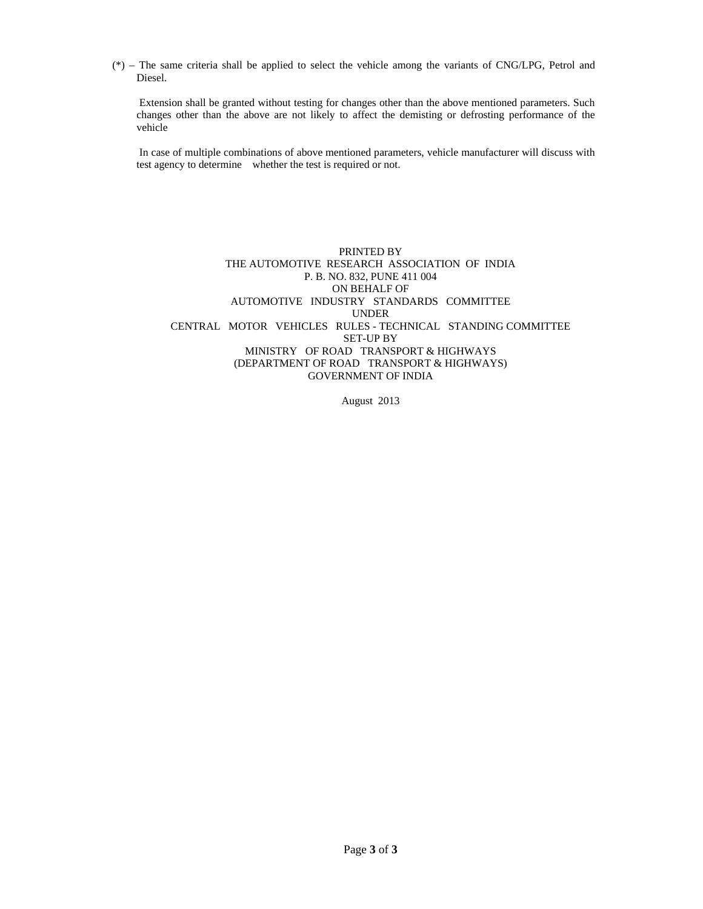(\*) – The same criteria shall be applied to select the vehicle among the variants of CNG/LPG, Petrol and Diesel.

 Extension shall be granted without testing for changes other than the above mentioned parameters. Such changes other than the above are not likely to affect the demisting or defrosting performance of the vehicle

 In case of multiple combinations of above mentioned parameters, vehicle manufacturer will discuss with test agency to determine whether the test is required or not.

PRINTED BY THE AUTOMOTIVE RESEARCH ASSOCIATION OF INDIA P. B. NO. 832, PUNE 411 004 ON BEHALF OF AUTOMOTIVE INDUSTRY STANDARDS COMMITTEE UNDER CENTRAL MOTOR VEHICLES RULES - TECHNICAL STANDING COMMITTEE SET-UP BY MINISTRY OF ROAD TRANSPORT & HIGHWAYS (DEPARTMENT OF ROAD TRANSPORT & HIGHWAYS) GOVERNMENT OF INDIA

August 2013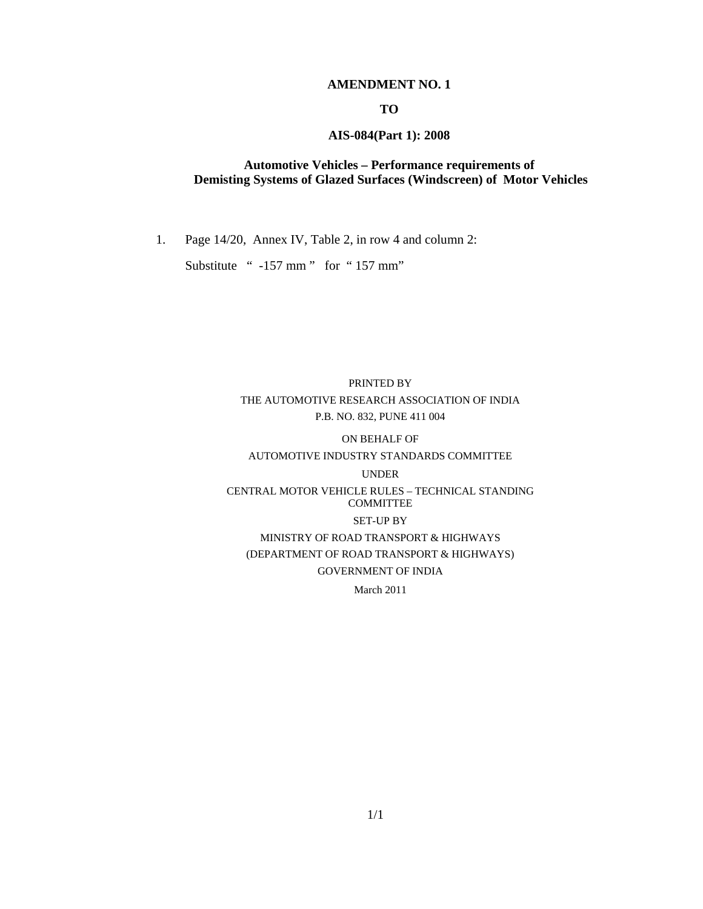## **AMENDMENT NO. 1**

## **TO**

## **AIS-084(Part 1): 2008**

## **Automotive Vehicles – Performance requirements of Demisting Systems of Glazed Surfaces (Windscreen) of Motor Vehicles**

1. Page 14/20, Annex IV, Table 2, in row 4 and column 2:

Substitute " -157 mm" for "157 mm"

# PRINTED BY THE AUTOMOTIVE RESEARCH ASSOCIATION OF INDIA P.B. NO. 832, PUNE 411 004

# ON BEHALF OF AUTOMOTIVE INDUSTRY STANDARDS COMMITTEE UNDER

# CENTRAL MOTOR VEHICLE RULES – TECHNICAL STANDING COMMITTEE SET-UP BY MINISTRY OF ROAD TRANSPORT & HIGHWAYS (DEPARTMENT OF ROAD TRANSPORT & HIGHWAYS) GOVERNMENT OF INDIA

March 2011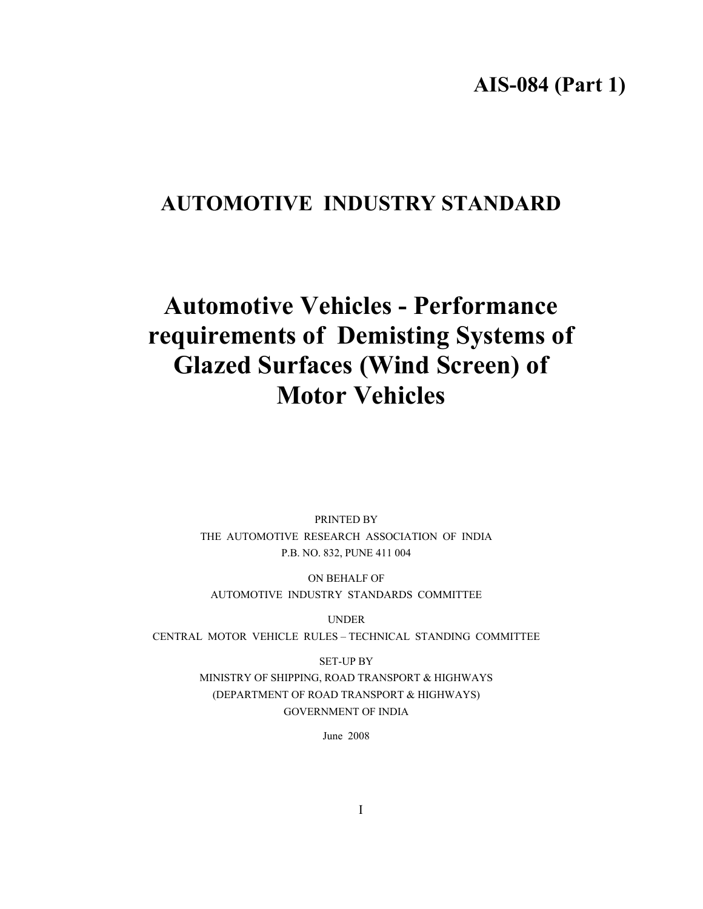**AIS-084 (Part 1)** 

# **AUTOMOTIVE INDUSTRY STANDARD**

# **Automotive Vehicles - Performance requirements of Demisting Systems of Glazed Surfaces (Wind Screen) of Motor Vehicles**

PRINTED BY THE AUTOMOTIVE RESEARCH ASSOCIATION OF INDIA P.B. NO. 832, PUNE 411 004

ON BEHALF OF AUTOMOTIVE INDUSTRY STANDARDS COMMITTEE

UNDER

CENTRAL MOTOR VEHICLE RULES – TECHNICAL STANDING COMMITTEE

SET-UP BY MINISTRY OF SHIPPING, ROAD TRANSPORT & HIGHWAYS (DEPARTMENT OF ROAD TRANSPORT & HIGHWAYS) GOVERNMENT OF INDIA

June 2008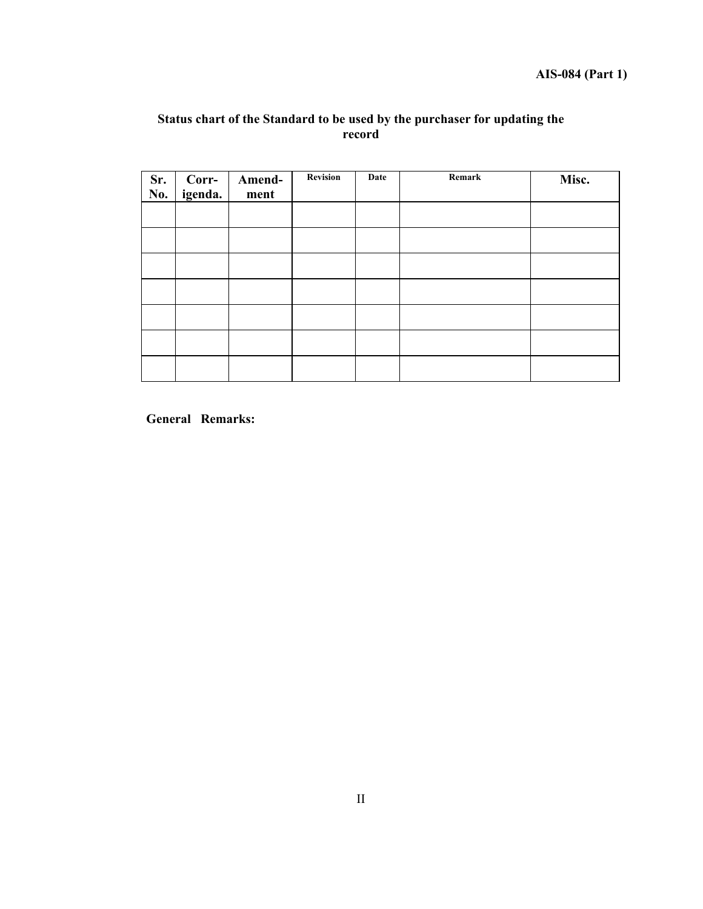## **Status chart of the Standard to be used by the purchaser for updating the record**

| Sr.<br>No. | Corr-<br>igenda. | Amend-<br>ment | <b>Revision</b> | Date | Remark | Misc. |
|------------|------------------|----------------|-----------------|------|--------|-------|
|            |                  |                |                 |      |        |       |
|            |                  |                |                 |      |        |       |
|            |                  |                |                 |      |        |       |
|            |                  |                |                 |      |        |       |
|            |                  |                |                 |      |        |       |
|            |                  |                |                 |      |        |       |
|            |                  |                |                 |      |        |       |

**General Remarks:**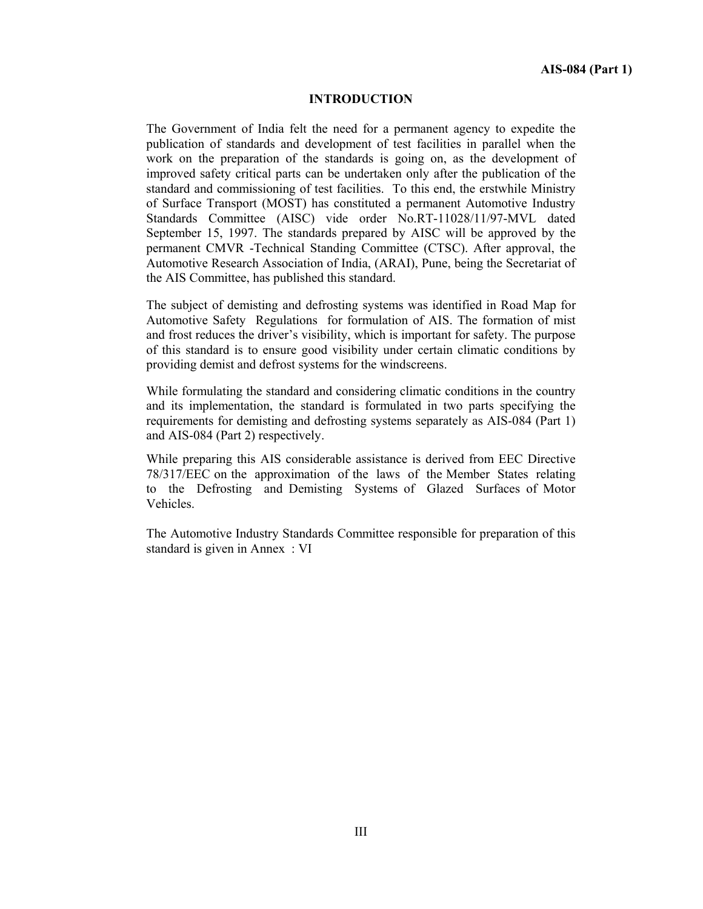#### **INTRODUCTION**

The Government of India felt the need for a permanent agency to expedite the publication of standards and development of test facilities in parallel when the work on the preparation of the standards is going on, as the development of improved safety critical parts can be undertaken only after the publication of the standard and commissioning of test facilities. To this end, the erstwhile Ministry of Surface Transport (MOST) has constituted a permanent Automotive Industry Standards Committee (AISC) vide order No.RT-11028/11/97-MVL dated September 15, 1997. The standards prepared by AISC will be approved by the permanent CMVR -Technical Standing Committee (CTSC). After approval, the Automotive Research Association of India, (ARAI), Pune, being the Secretariat of the AIS Committee, has published this standard.

The subject of demisting and defrosting systems was identified in Road Map for Automotive Safety Regulations for formulation of AIS. The formation of mist and frost reduces the driver's visibility, which is important for safety. The purpose of this standard is to ensure good visibility under certain climatic conditions by providing demist and defrost systems for the windscreens.

While formulating the standard and considering climatic conditions in the country and its implementation, the standard is formulated in two parts specifying the requirements for demisting and defrosting systems separately as AIS-084 (Part 1) and AIS-084 (Part 2) respectively.

While preparing this AIS considerable assistance is derived from EEC Directive 78/317/EEC on the approximation of the laws of the Member States relating to the Defrosting and Demisting Systems of Glazed Surfaces of Motor Vehicles.

The Automotive Industry Standards Committee responsible for preparation of this standard is given in Annex : VI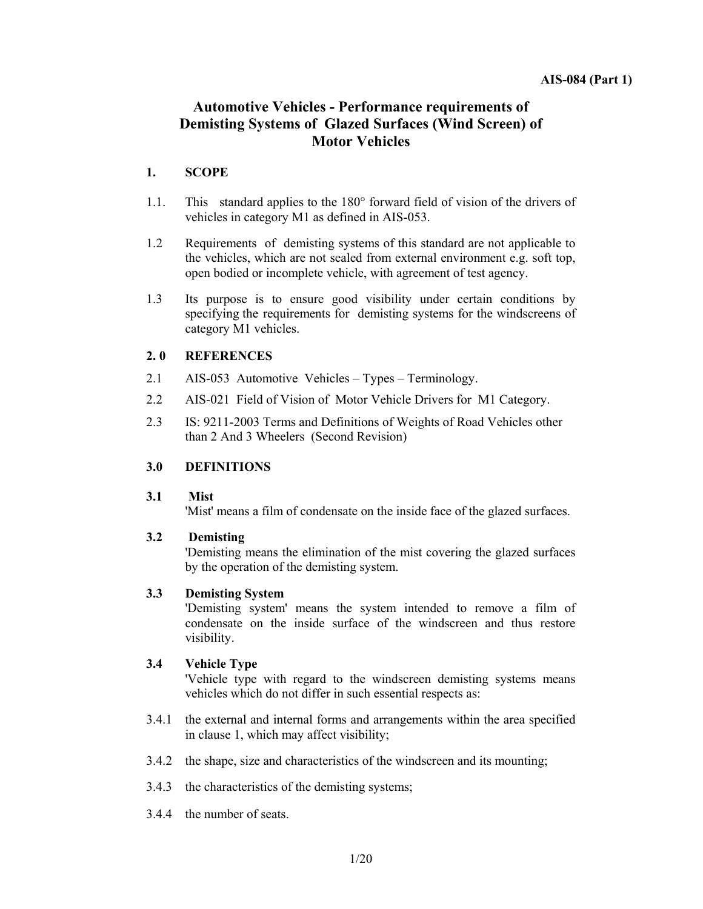# **Automotive Vehicles - Performance requirements of Demisting Systems of Glazed Surfaces (Wind Screen) of Motor Vehicles**

## **1. SCOPE**

- 1.1.This standard applies to the 180° forward field of vision of the drivers of vehicles in category M1 as defined in AIS-053.
- 1.2Requirements of demisting systems of this standard are not applicable to the vehicles, which are not sealed from external environment e.g. soft top, open bodied or incomplete vehicle, with agreement of test agency.
- 1.3 Its purpose is to ensure good visibility under certain conditions by specifying the requirements for demisting systems for the windscreens of category M1 vehicles.

## **2. 0 REFERENCES**

- 2.1 AIS-053 Automotive Vehicles Types Terminology.
- 2.2 AIS-021 Field of Vision of Motor Vehicle Drivers for M1 Category.
- 2.3 IS: 9211-2003 Terms and Definitions of Weights of Road Vehicles other than 2 And 3 Wheelers (Second Revision)

## **3.0 DEFINITIONS**

## **3.1 Mist**

'Mist' means a film of condensate on the inside face of the glazed surfaces.

## **3.2 Demisting**

'Demisting means the elimination of the mist covering the glazed surfaces by the operation of the demisting system.

## **3.3 Demisting System**

 'Demisting system' means the system intended to remove a film of condensate on the inside surface of the windscreen and thus restore visibility.

## **3.4 Vehicle Type**

 'Vehicle type with regard to the windscreen demisting systems means vehicles which do not differ in such essential respects as:

- 3.4.1 the external and internal forms and arrangements within the area specified in clause 1, which may affect visibility;
- 3.4.2 the shape, size and characteristics of the windscreen and its mounting;
- 3.4.3 the characteristics of the demisting systems;
- 3.4.4 the number of seats.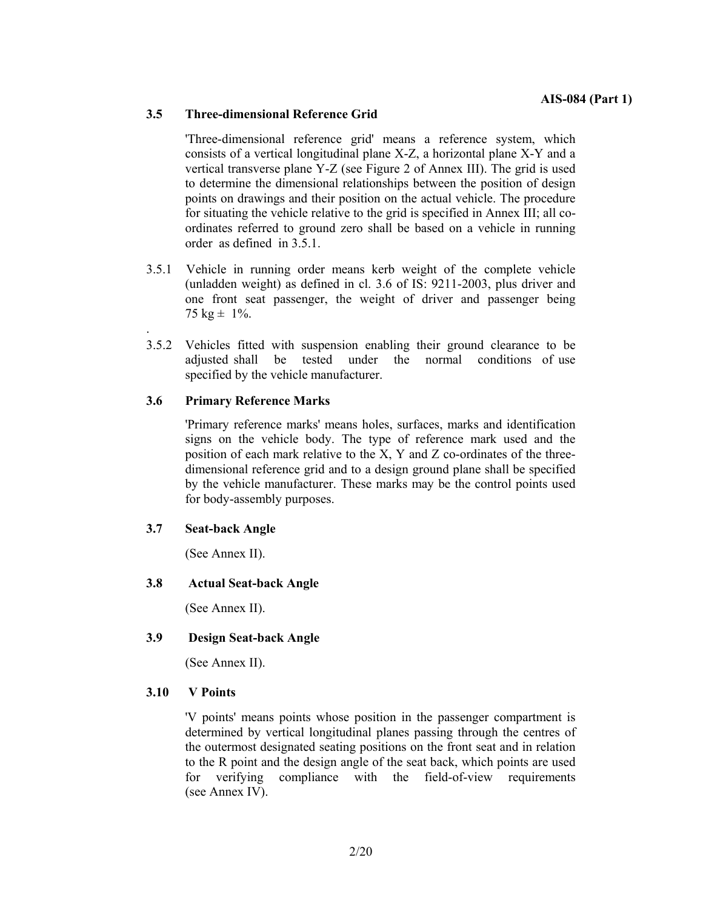## **3.5 Three-dimensional Reference Grid**

'Three-dimensional reference grid' means a reference system, which consists of a vertical longitudinal plane X-Z, a horizontal plane X-Y and a vertical transverse plane Y-Z (see Figure 2 of Annex III). The grid is used to determine the dimensional relationships between the position of design points on drawings and their position on the actual vehicle. The procedure for situating the vehicle relative to the grid is specified in Annex III; all coordinates referred to ground zero shall be based on a vehicle in running order as defined in 3.5.1.

- 3.5.1 Vehicle in running order means kerb weight of the complete vehicle (unladden weight) as defined in cl. 3.6 of IS: 9211-2003, plus driver and one front seat passenger, the weight of driver and passenger being 75 kg  $\pm$  1%.
- 3.5.2 Vehicles fitted with suspension enabling their ground clearance to be adjusted shall be tested under the normal conditions of use specified by the vehicle manufacturer.

## **3.6 Primary Reference Marks**

'Primary reference marks' means holes, surfaces, marks and identification signs on the vehicle body. The type of reference mark used and the position of each mark relative to the X, Y and Z co-ordinates of the threedimensional reference grid and to a design ground plane shall be specified by the vehicle manufacturer. These marks may be the control points used for body-assembly purposes.

#### **3.7 Seat-back Angle**

.

(See Annex II).

#### **3.8 Actual Seat-back Angle**

(See Annex II).

## **3.9 Design Seat-back Angle**

(See Annex II).

#### **3.10 V Points**

'V points' means points whose position in the passenger compartment is determined by vertical longitudinal planes passing through the centres of the outermost designated seating positions on the front seat and in relation to the R point and the design angle of the seat back, which points are used for verifying compliance with the field-of-view requirements (see Annex IV).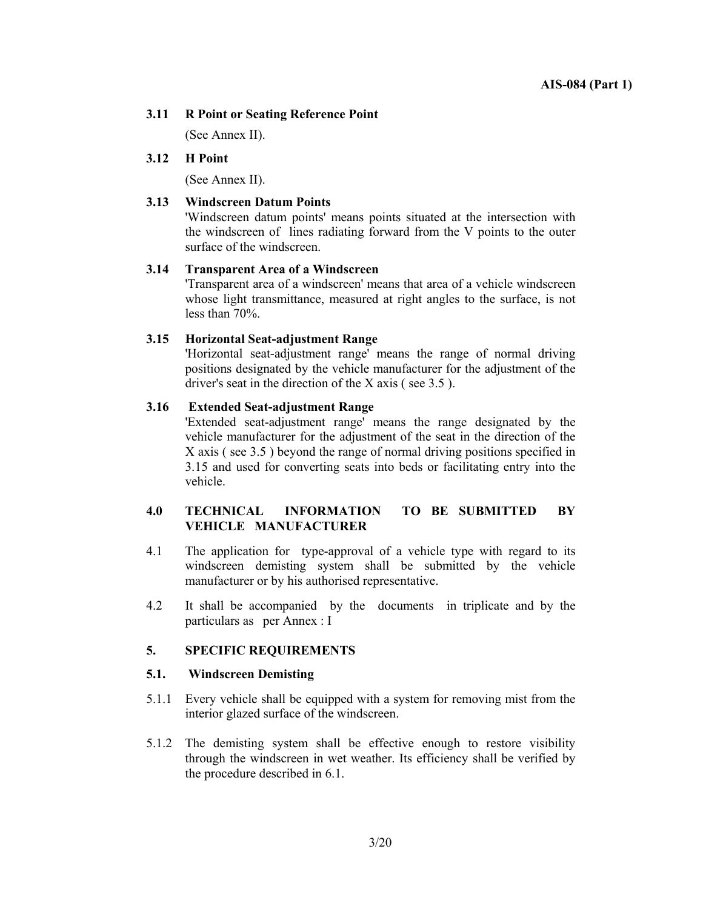## **3.11 R Point or Seating Reference Point**

(See Annex II).

## **3.12 H Point**

(See Annex II).

## **3.13 Windscreen Datum Points**

'Windscreen datum points' means points situated at the intersection with the windscreen of lines radiating forward from the V points to the outer surface of the windscreen.

#### **3.14 Transparent Area of a Windscreen**

'Transparent area of a windscreen' means that area of a vehicle windscreen whose light transmittance, measured at right angles to the surface, is not less than 70%.

#### **3.15 Horizontal Seat-adjustment Range**

'Horizontal seat-adjustment range' means the range of normal driving positions designated by the vehicle manufacturer for the adjustment of the driver's seat in the direction of the X axis ( see 3.5 ).

#### **3.16 Extended Seat-adjustment Range**

'Extended seat-adjustment range' means the range designated by the vehicle manufacturer for the adjustment of the seat in the direction of the X axis ( see 3.5 ) beyond the range of normal driving positions specified in 3.15 and used for converting seats into beds or facilitating entry into the vehicle.

## **4.0 TECHNICAL INFORMATION TO BE SUBMITTED BY VEHICLE MANUFACTURER**

- 4.1 The application for type-approval of a vehicle type with regard to its windscreen demisting system shall be submitted by the vehicle manufacturer or by his authorised representative.
- 4.2 It shall be accompanied by the documents in triplicate and by the particulars as per Annex : I

## **5. SPECIFIC REQUIREMENTS**

#### **5.1. Windscreen Demisting**

- 5.1.1 Every vehicle shall be equipped with a system for removing mist from the interior glazed surface of the windscreen.
- 5.1.2 The demisting system shall be effective enough to restore visibility through the windscreen in wet weather. Its efficiency shall be verified by the procedure described in 6.1.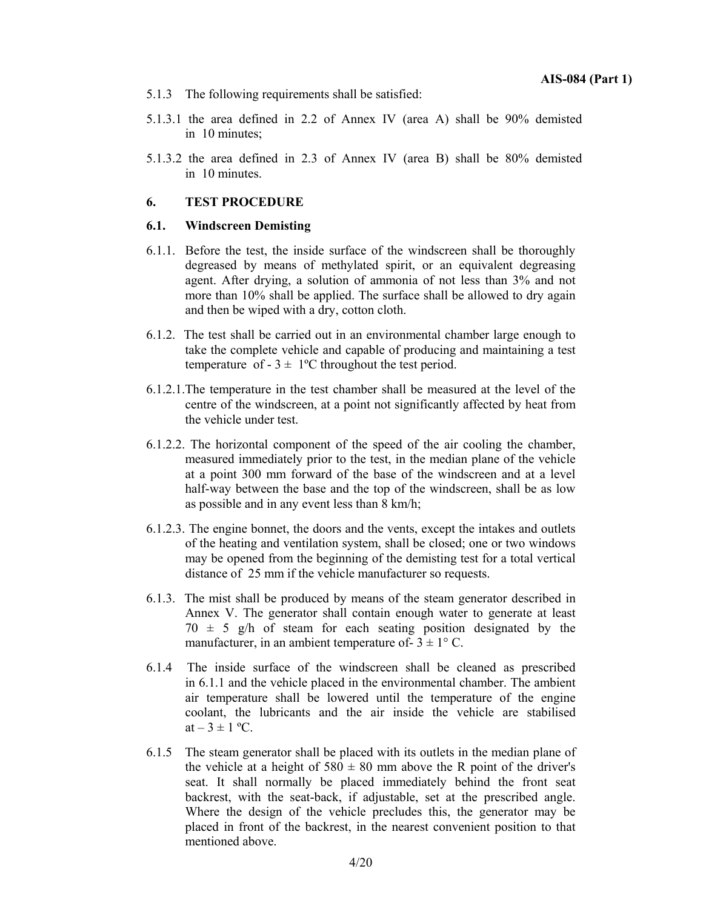- 5.1.3 The following requirements shall be satisfied:
- 5.1.3.1 the area defined in 2.2 of Annex IV (area A) shall be 90% demisted in 10 minutes;
- 5.1.3.2 the area defined in 2.3 of Annex IV (area B) shall be 80% demisted in 10 minutes.

## **6. TEST PROCEDURE**

## **6.1. Windscreen Demisting**

- 6.1.1.Before the test, the inside surface of the windscreen shall be thoroughly degreased by means of methylated spirit, or an equivalent degreasing agent. After drying, a solution of ammonia of not less than 3% and not more than 10% shall be applied. The surface shall be allowed to dry again and then be wiped with a dry, cotton cloth.
- 6.1.2.The test shall be carried out in an environmental chamber large enough to take the complete vehicle and capable of producing and maintaining a test temperature of  $-3 \pm 1$ <sup>o</sup>C throughout the test period.
- 6.1.2.1.The temperature in the test chamber shall be measured at the level of the centre of the windscreen, at a point not significantly affected by heat from the vehicle under test.
- 6.1.2.2. The horizontal component of the speed of the air cooling the chamber, measured immediately prior to the test, in the median plane of the vehicle at a point 300 mm forward of the base of the windscreen and at a level half-way between the base and the top of the windscreen, shall be as low as possible and in any event less than 8 km/h;
- 6.1.2.3. The engine bonnet, the doors and the vents, except the intakes and outlets of the heating and ventilation system, shall be closed; one or two windows may be opened from the beginning of the demisting test for a total vertical distance of 25 mm if the vehicle manufacturer so requests.
- 6.1.3.The mist shall be produced by means of the steam generator described in Annex V. The generator shall contain enough water to generate at least  $70 \pm 5$  g/h of steam for each seating position designated by the manufacturer, in an ambient temperature of  $-3 \pm 1$ °C.
- 6.1.4 The inside surface of the windscreen shall be cleaned as prescribed in 6.1.1 and the vehicle placed in the environmental chamber. The ambient air temperature shall be lowered until the temperature of the engine coolant, the lubricants and the air inside the vehicle are stabilised at  $-3 \pm 1$  °C.
- 6.1.5 The steam generator shall be placed with its outlets in the median plane of the vehicle at a height of  $580 \pm 80$  mm above the R point of the driver's seat. It shall normally be placed immediately behind the front seat backrest, with the seat-back, if adjustable, set at the prescribed angle. Where the design of the vehicle precludes this, the generator may be placed in front of the backrest, in the nearest convenient position to that mentioned above.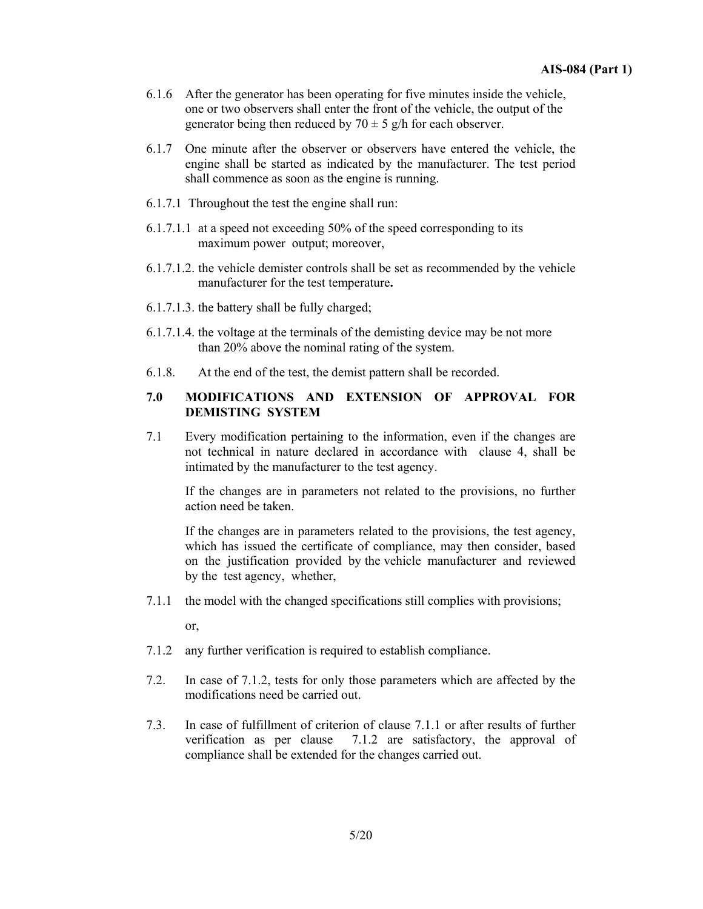- 6.1.6 After the generator has been operating for five minutes inside the vehicle, one or two observers shall enter the front of the vehicle, the output of the generator being then reduced by  $70 \pm 5$  g/h for each observer.
- 6.1.7 One minute after the observer or observers have entered the vehicle, the engine shall be started as indicated by the manufacturer. The test period shall commence as soon as the engine is running.
- 6.1.7.1 Throughout the test the engine shall run:
- 6.1.7.1.1 at a speed not exceeding 50% of the speed corresponding to its maximum power output; moreover,
- 6.1.7.1.2. the vehicle demister controls shall be set as recommended by the vehicle manufacturer for the test temperature**.**
- 6.1.7.1.3. the battery shall be fully charged;
- 6.1.7.1.4. the voltage at the terminals of the demisting device may be not more than 20% above the nominal rating of the system.
- 6.1.8.At the end of the test, the demist pattern shall be recorded.

## **7.0 MODIFICATIONS AND EXTENSION OF APPROVAL FOR DEMISTING SYSTEM**

7.1 Every modification pertaining to the information, even if the changes are not technical in nature declared in accordance with clause 4, shall be intimated by the manufacturer to the test agency.

If the changes are in parameters not related to the provisions, no further action need be taken.

If the changes are in parameters related to the provisions, the test agency, which has issued the certificate of compliance, may then consider, based on the justification provided by the vehicle manufacturer and reviewed by the test agency, whether,

7.1.1 the model with the changed specifications still complies with provisions;

or,

- 7.1.2 any further verification is required to establish compliance.
- 7.2. In case of 7.1.2, tests for only those parameters which are affected by the modifications need be carried out.
- 7.3. In case of fulfillment of criterion of clause 7.1.1 or after results of further verification as per clause 7.1.2 are satisfactory, the approval of compliance shall be extended for the changes carried out.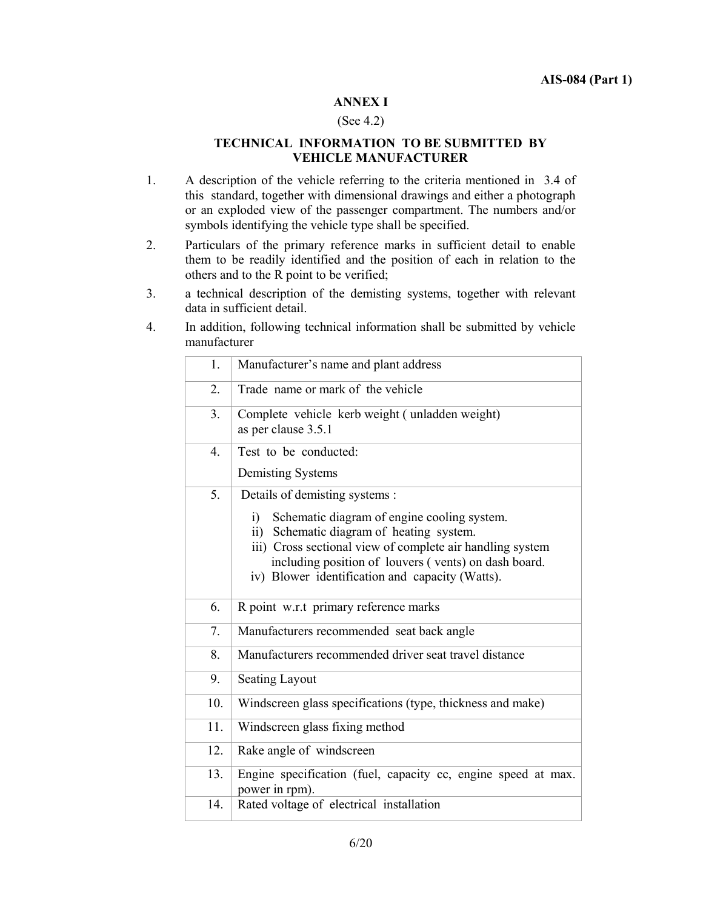## **ANNEX I**

## (See 4.2)

## **TECHNICAL INFORMATION TO BE SUBMITTED BY VEHICLE MANUFACTURER**

- 1. A description of the vehicle referring to the criteria mentioned in 3.4 of this standard, together with dimensional drawings and either a photograph or an exploded view of the passenger compartment. The numbers and/or symbols identifying the vehicle type shall be specified.
- 2. Particulars of the primary reference marks in sufficient detail to enable them to be readily identified and the position of each in relation to the others and to the R point to be verified;
- 3. a technical description of the demisting systems, together with relevant data in sufficient detail.
- 4. In addition, following technical information shall be submitted by vehicle manufacturer

| 1.               | Manufacturer's name and plant address                                 |
|------------------|-----------------------------------------------------------------------|
| 2.               | Trade name or mark of the vehicle                                     |
| 3.               | Complete vehicle kerb weight (unladden weight)<br>as per clause 3.5.1 |
| $\overline{4}$ . | Test to be conducted:                                                 |
|                  | Demisting Systems                                                     |
| 5.               | Details of demisting systems :                                        |
|                  | Schematic diagram of engine cooling system.<br>i)                     |
|                  | ii) Schematic diagram of heating system.                              |
|                  | iii) Cross sectional view of complete air handling system             |
|                  | including position of louvers (vents) on dash board.                  |
|                  | iv) Blower identification and capacity (Watts).                       |
| 6.               | R point w.r.t primary reference marks                                 |
| 7.               | Manufacturers recommended seat back angle                             |
| 8.               | Manufacturers recommended driver seat travel distance                 |
| 9.               | <b>Seating Layout</b>                                                 |
| 10.              | Windscreen glass specifications (type, thickness and make)            |
| 11.              | Windscreen glass fixing method                                        |
| 12.              | Rake angle of windscreen                                              |
| 13.              | Engine specification (fuel, capacity cc, engine speed at max.         |
|                  |                                                                       |
| 14.              | power in rpm).<br>Rated voltage of electrical installation            |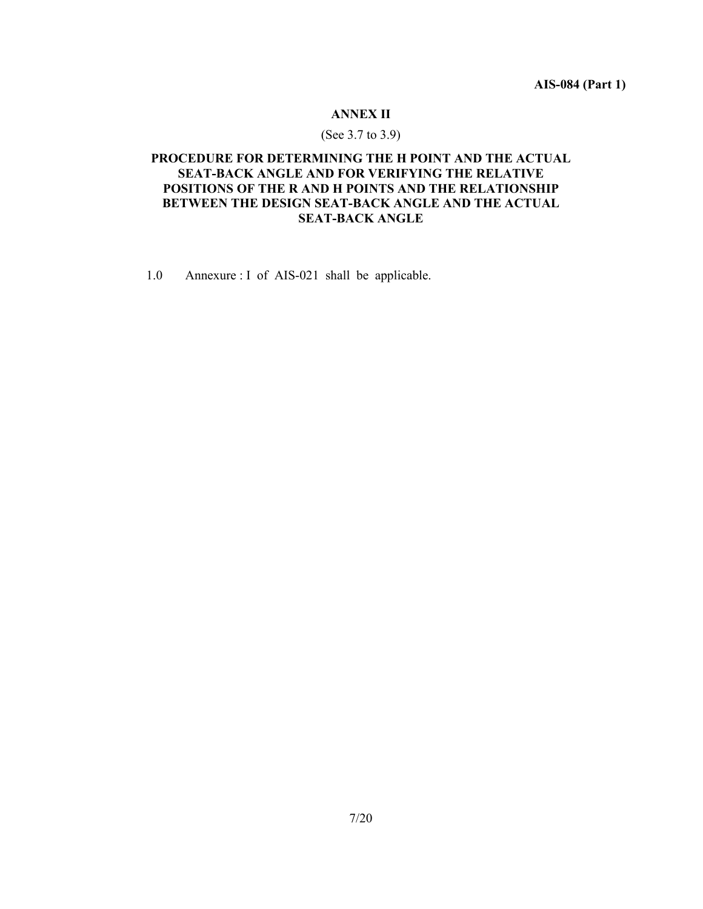**AIS-084 (Part 1)** 

## **ANNEX II**

## (See 3.7 to 3.9)

## **PROCEDURE FOR DETERMINING THE H POINT AND THE ACTUAL SEAT-BACK ANGLE AND FOR VERIFYING THE RELATIVE POSITIONS OF THE R AND H POINTS AND THE RELATIONSHIP BETWEEN THE DESIGN SEAT-BACK ANGLE AND THE ACTUAL SEAT-BACK ANGLE**

1.0 Annexure : I of AIS-021 shall be applicable.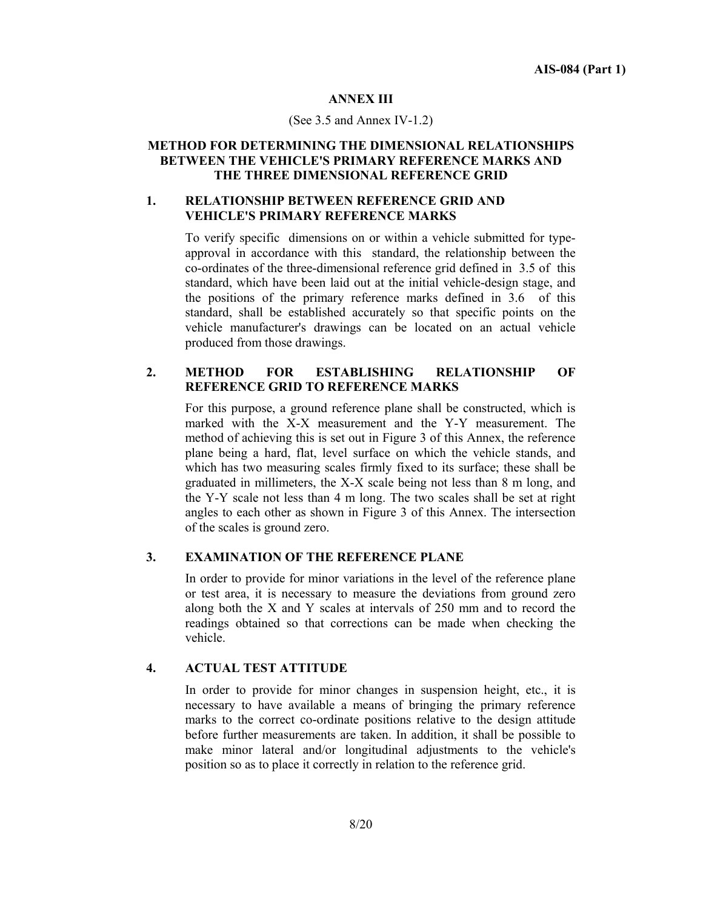## **ANNEX III**

#### (See 3.5 and Annex IV-1.2)

## **METHOD FOR DETERMINING THE DIMENSIONAL RELATIONSHIPS BETWEEN THE VEHICLE'S PRIMARY REFERENCE MARKS AND THE THREE DIMENSIONAL REFERENCE GRID**

## **1. RELATIONSHIP BETWEEN REFERENCE GRID AND VEHICLE'S PRIMARY REFERENCE MARKS**

To verify specific dimensions on or within a vehicle submitted for typeapproval in accordance with this standard, the relationship between the co-ordinates of the three-dimensional reference grid defined in 3.5 of this standard, which have been laid out at the initial vehicle-design stage, and the positions of the primary reference marks defined in 3.6 of this standard, shall be established accurately so that specific points on the vehicle manufacturer's drawings can be located on an actual vehicle produced from those drawings.

## **2. METHOD FOR ESTABLISHING RELATIONSHIP OF REFERENCE GRID TO REFERENCE MARKS**

For this purpose, a ground reference plane shall be constructed, which is marked with the X-X measurement and the Y-Y measurement. The method of achieving this is set out in Figure 3 of this Annex, the reference plane being a hard, flat, level surface on which the vehicle stands, and which has two measuring scales firmly fixed to its surface; these shall be graduated in millimeters, the X-X scale being not less than 8 m long, and the Y-Y scale not less than 4 m long. The two scales shall be set at right angles to each other as shown in Figure 3 of this Annex. The intersection of the scales is ground zero.

## **3. EXAMINATION OF THE REFERENCE PLANE**

In order to provide for minor variations in the level of the reference plane or test area, it is necessary to measure the deviations from ground zero along both the X and Y scales at intervals of 250 mm and to record the readings obtained so that corrections can be made when checking the vehicle.

## **4. ACTUAL TEST ATTITUDE**

In order to provide for minor changes in suspension height, etc., it is necessary to have available a means of bringing the primary reference marks to the correct co-ordinate positions relative to the design attitude before further measurements are taken. In addition, it shall be possible to make minor lateral and/or longitudinal adjustments to the vehicle's position so as to place it correctly in relation to the reference grid.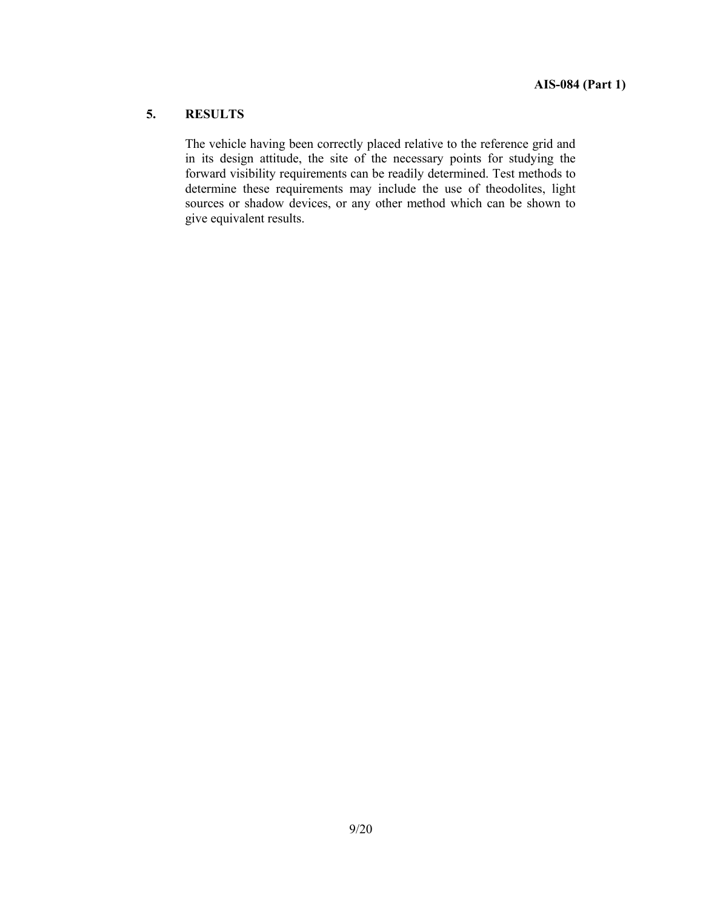## **5. RESULTS**

The vehicle having been correctly placed relative to the reference grid and in its design attitude, the site of the necessary points for studying the forward visibility requirements can be readily determined. Test methods to determine these requirements may include the use of theodolites, light sources or shadow devices, or any other method which can be shown to give equivalent results.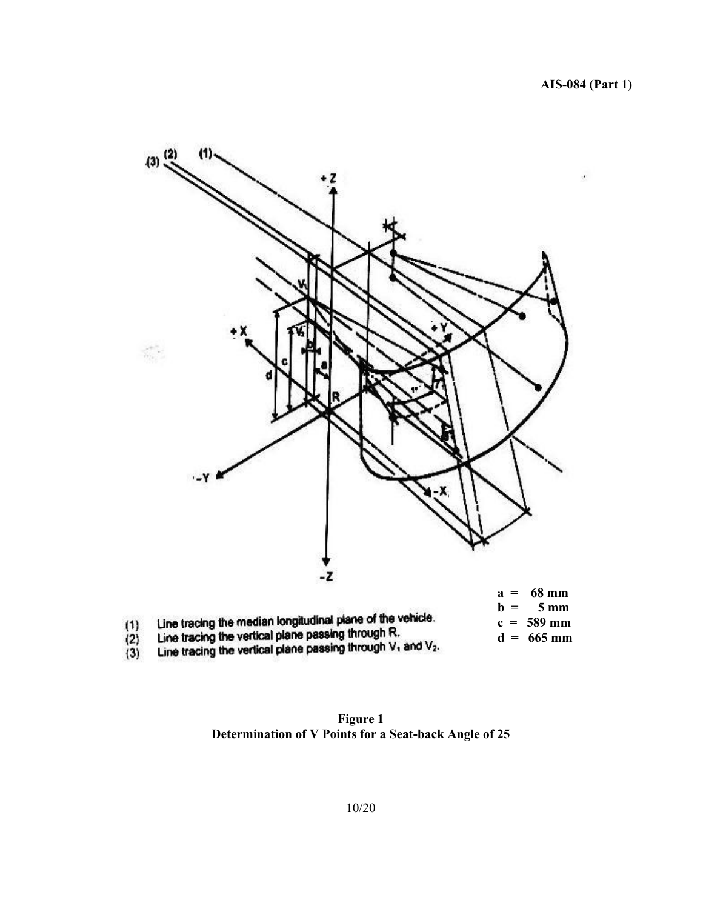

**Figure 1 Determination of V Points for a Seat-back Angle of 25**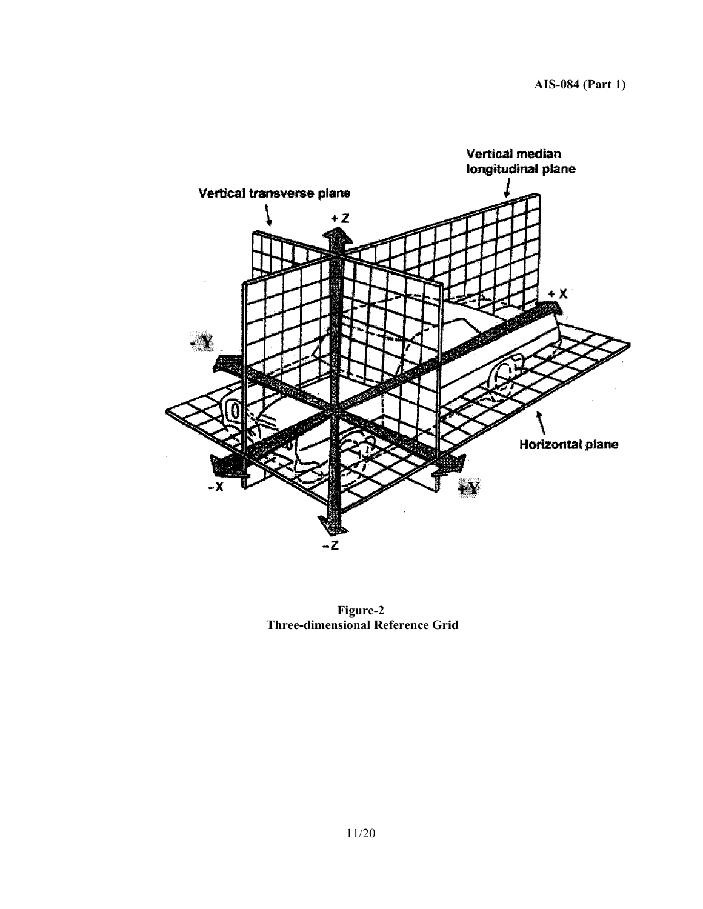

**Figure-2 Three-dimensional Reference Grid**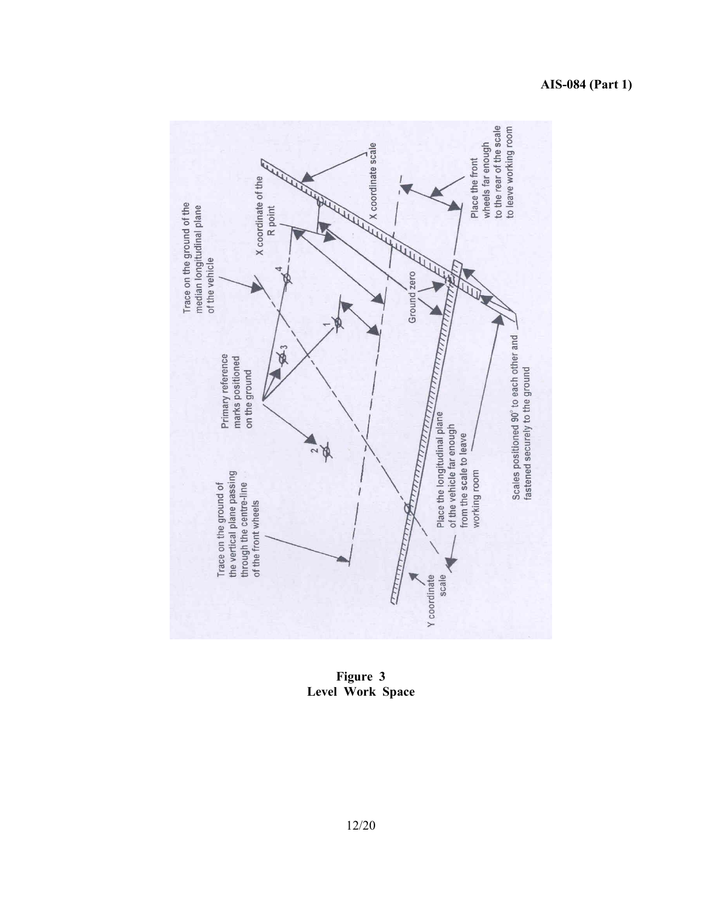

**Figure 3 Level Work Space**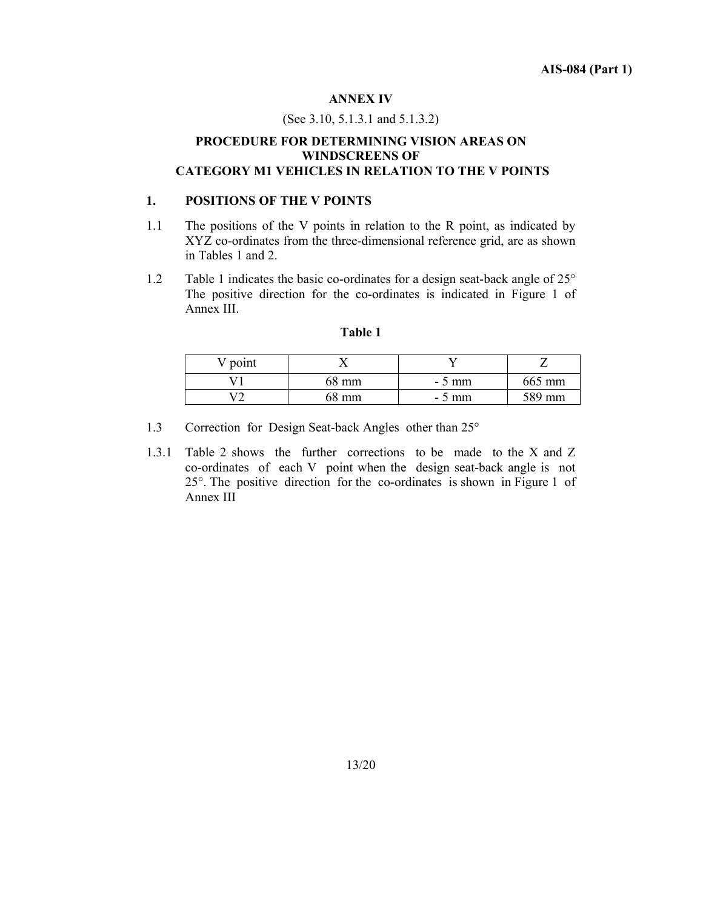#### **ANNEX IV**

#### (See 3.10, 5.1.3.1 and 5.1.3.2)

## **PROCEDURE FOR DETERMINING VISION AREAS ON WINDSCREENS OF CATEGORY M1 VEHICLES IN RELATION TO THE V POINTS**

#### **1. POSITIONS OF THE V POINTS**

- 1.1 The positions of the V points in relation to the R point, as indicated by XYZ co-ordinates from the three-dimensional reference grid, are as shown in Tables 1 and 2.
- 1.2 Table 1 indicates the basic co-ordinates for a design seat-back angle of 25° The positive direction for the co-ordinates is indicated in Figure 1 of Annex III.

| $\vee$ point |       |         |        |
|--------------|-------|---------|--------|
|              | 68 mm | $-5$ mm | 665 mm |
| $\mathbf{z}$ | 68 mm | $-5$ mm | 589 mm |

#### **Table 1**

- 1.3 Correction for Design Seat-back Angles other than 25°
- 1.3.1 Table 2 shows the further corrections to be made to the X and Z co-ordinates of each V point when the design seat-back angle is not 25°. The positive direction for the co-ordinates is shown in Figure 1 of Annex III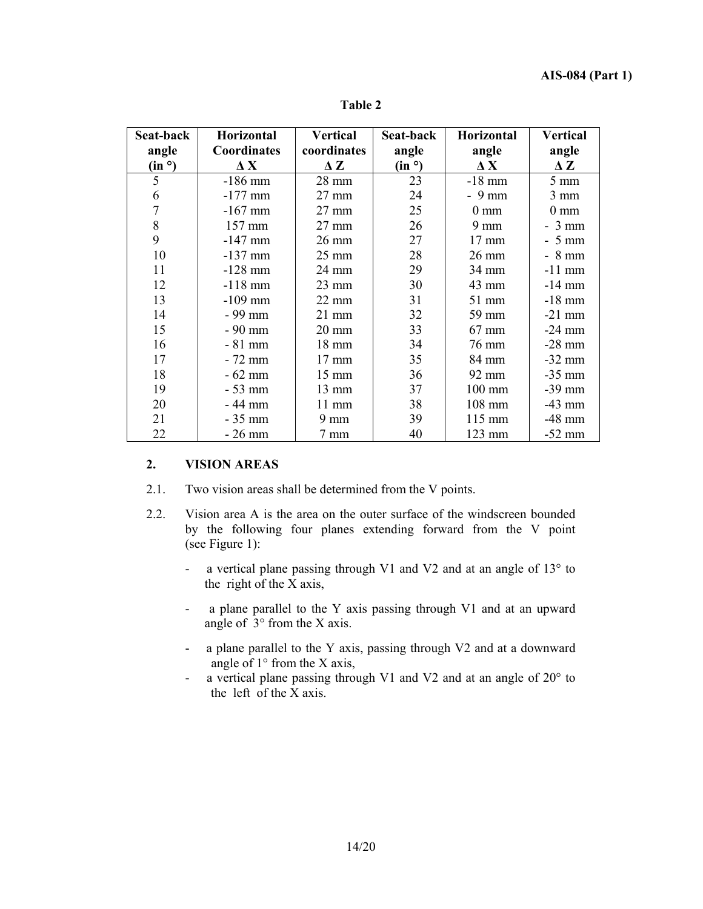| Seat-back<br>angle<br>(in <sup>o</sup> ) | Horizontal<br><b>Coordinates</b><br>$\Delta$ X | <b>Vertical</b><br>coordinates<br>$\Delta Z$ | Seat-back<br>angle<br>(in 9) | <b>Horizontal</b><br>angle<br>$\mathbf{\Delta} \mathbf{X}$ | <b>Vertical</b><br>angle<br>$\Delta Z$ |
|------------------------------------------|------------------------------------------------|----------------------------------------------|------------------------------|------------------------------------------------------------|----------------------------------------|
| 5                                        | $-186$ mm                                      | 28 mm                                        | 23                           | $-18$ mm                                                   | $5 \text{ mm}$                         |
| 6                                        | $-177$ mm                                      | 27 mm                                        | 24                           | $-9$ mm                                                    | $3 \text{ mm}$                         |
| $\overline{7}$                           | $-167$ mm                                      | $27 \text{ mm}$                              | 25                           | $0 \text{ mm}$                                             | $0 \text{ mm}$                         |
| 8                                        | 157 mm                                         | $27 \text{ mm}$                              | 26                           | $9 \text{ mm}$                                             | $-3$ mm                                |
| 9                                        | $-147$ mm                                      | $26 \text{ mm}$                              | 27                           | $17 \text{ mm}$                                            | $-5$ mm                                |
| 10                                       | $-137$ mm                                      | $25 \text{ mm}$                              | 28                           | $26 \text{ mm}$                                            | $-8$ mm                                |
| 11                                       | $-128$ mm                                      | 24 mm                                        | 29                           | 34 mm                                                      | $-11$ mm                               |
| 12                                       | $-118$ mm                                      | $23 \text{ mm}$                              | 30                           | 43 mm                                                      | $-14$ mm                               |
| 13                                       | $-109$ mm                                      | $22 \text{ mm}$                              | 31                           | 51 mm                                                      | $-18$ mm                               |
| 14                                       | - 99 mm                                        | $21$ mm                                      | 32                           | 59 mm                                                      | $-21$ mm                               |
| 15                                       | - 90 mm                                        | $20 \text{ mm}$                              | 33                           | $67$ mm                                                    | $-24$ mm                               |
| 16                                       | $-81$ mm                                       | 18 mm                                        | 34                           | 76 mm                                                      | $-28$ mm                               |
| 17                                       | $-72$ mm                                       | $17 \text{ mm}$                              | 35                           | 84 mm                                                      | $-32$ mm                               |
| 18                                       | $-62$ mm                                       | $15 \text{ mm}$                              | 36                           | 92 mm                                                      | $-35$ mm                               |
| 19                                       | $-53$ mm                                       | 13 mm                                        | 37                           | 100 mm                                                     | $-39$ mm                               |
| 20                                       | $-44$ mm                                       | $11 \text{ mm}$                              | 38                           | $108$ mm                                                   | $-43$ mm                               |
| 21                                       | $-35$ mm                                       | $9 \text{ mm}$                               | 39                           | 115 mm                                                     | $-48$ mm                               |
| 22                                       | $-26$ mm                                       | 7 mm                                         | 40                           | 123 mm                                                     | $-52$ mm                               |

**Table 2** 

## **2. VISION AREAS**

- 2.1.Two vision areas shall be determined from the V points.
- 2.2.Vision area A is the area on the outer surface of the windscreen bounded by the following four planes extending forward from the V point (see Figure 1):
	- a vertical plane passing through V1 and V2 and at an angle of 13° to the right of the X axis,
	- a plane parallel to the Y axis passing through V1 and at an upward angle of 3° from the X axis.
	- a plane parallel to the Y axis, passing through V2 and at a downward angle of 1° from the X axis,
	- a vertical plane passing through V1 and V2 and at an angle of 20° to the left of the X axis.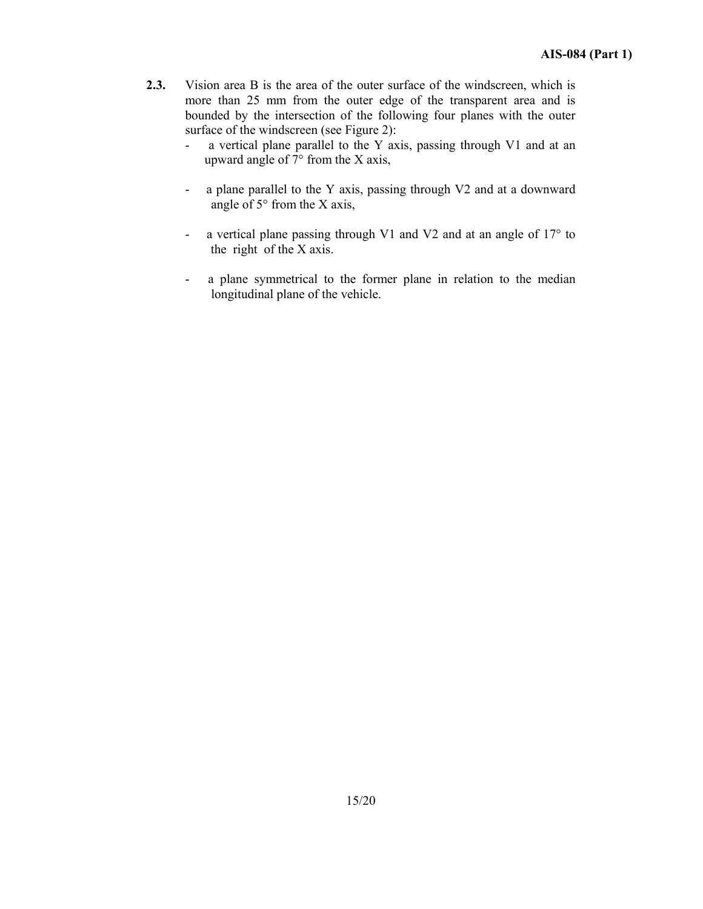- **2.3.** Vision area B is the area of the outer surface of the windscreen, which is more than 25 mm from the outer edge of the transparent area and is bounded by the intersection of the following four planes with the outer surface of the windscreen (see Figure 2):
	- a vertical plane parallel to the Y axis, passing through V1 and at an upward angle of 7° from the X axis,
	- a plane parallel to the Y axis, passing through V2 and at a downward angle of  $5^{\circ}$  from the X axis,
	- a vertical plane passing through V1 and V2 and at an angle of 17° to the right of the X axis.
	- a plane symmetrical to the former plane in relation to the median longitudinal plane of the vehicle.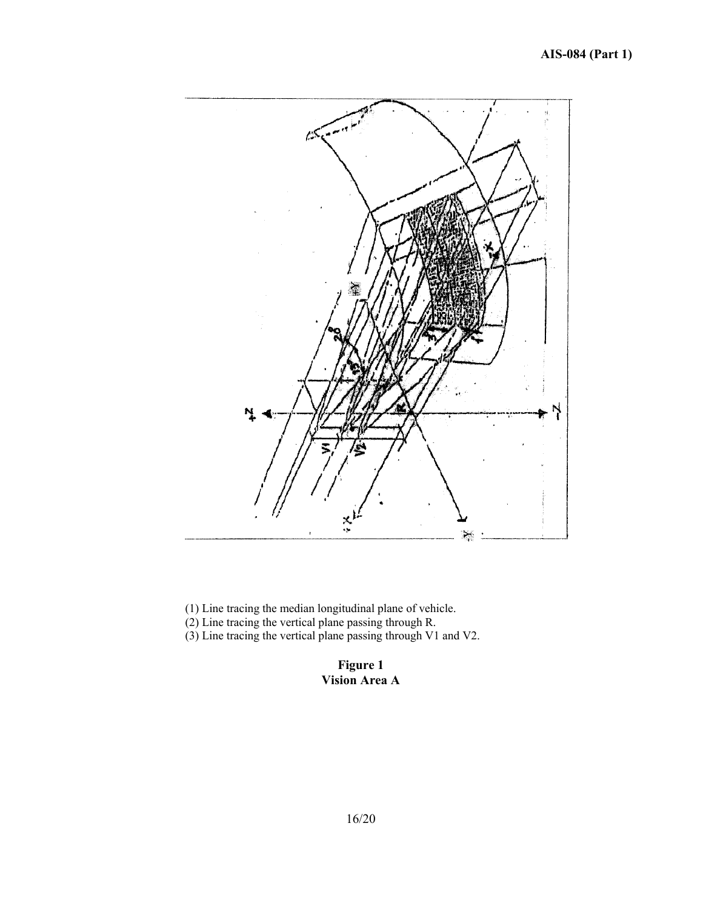# **AIS-084 (Part 1)**



(1) Line tracing the median longitudinal plane of vehicle.

(2) Line tracing the vertical plane passing through R.

(3) Line tracing the vertical plane passing through V1 and V2.

## **Figure 1 Vision Area A**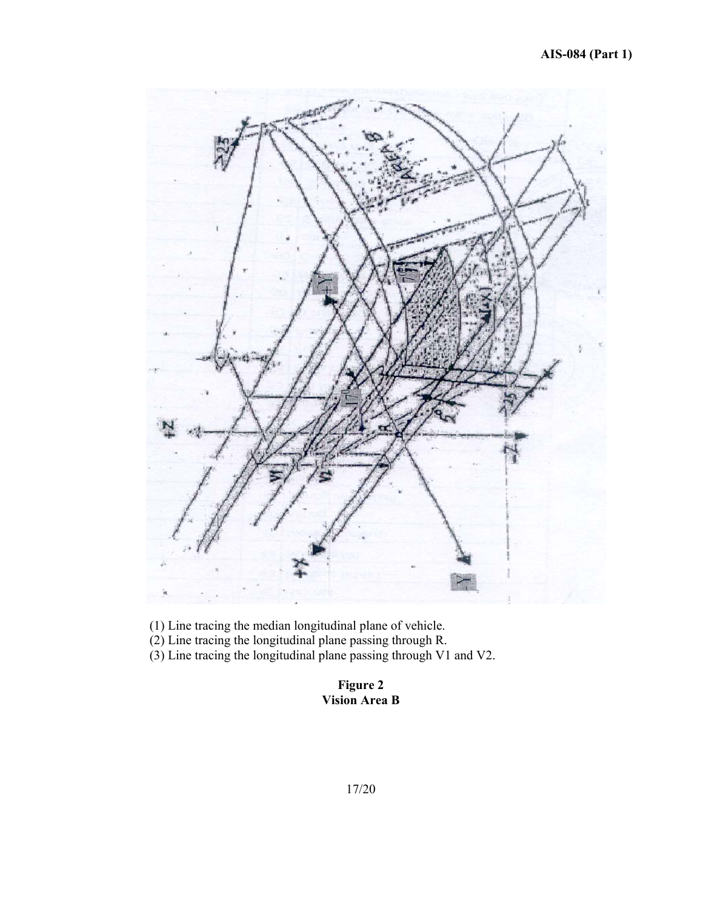

(1) Line tracing the median longitudinal plane of vehicle.

(2) Line tracing the longitudinal plane passing through R.

(3) Line tracing the longitudinal plane passing through V1 and V2.

# **Figure 2 Vision Area B**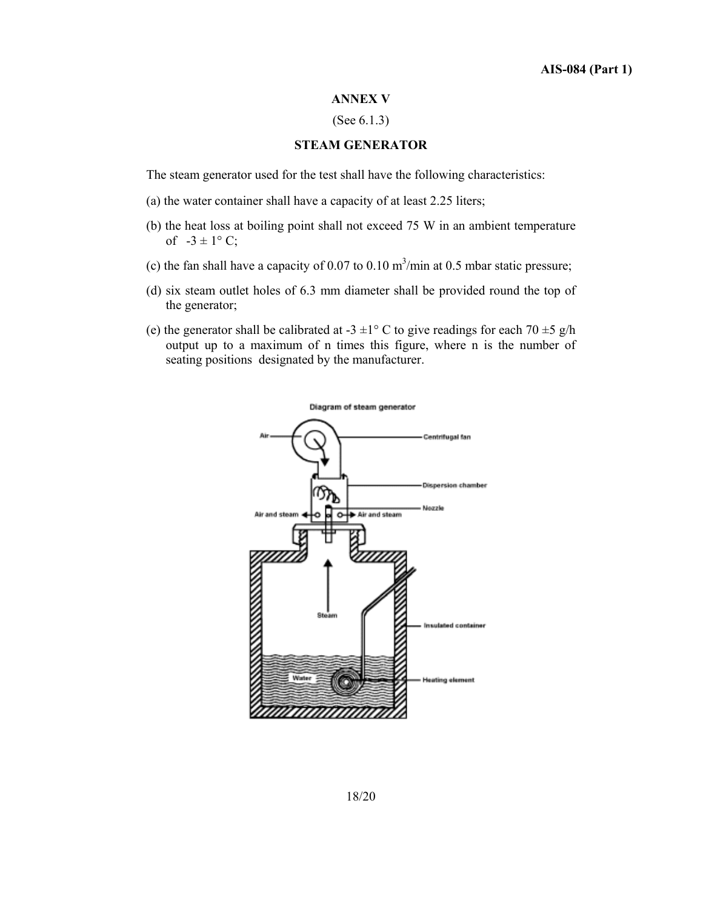#### **ANNEX V**

## (See 6.1.3)

## **STEAM GENERATOR**

The steam generator used for the test shall have the following characteristics:

- (a) the water container shall have a capacity of at least 2.25 liters;
- (b) the heat loss at boiling point shall not exceed 75 W in an ambient temperature of  $-3 \pm 1$ °C;
- (c) the fan shall have a capacity of 0.07 to 0.10  $\text{m}^3/\text{min}$  at 0.5 mbar static pressure;
- (d) six steam outlet holes of 6.3 mm diameter shall be provided round the top of the generator;
- (e) the generator shall be calibrated at  $-3 \pm 1^{\circ}$  C to give readings for each  $70 \pm 5$  g/h output up to a maximum of n times this figure, where n is the number of seating positions designated by the manufacturer.

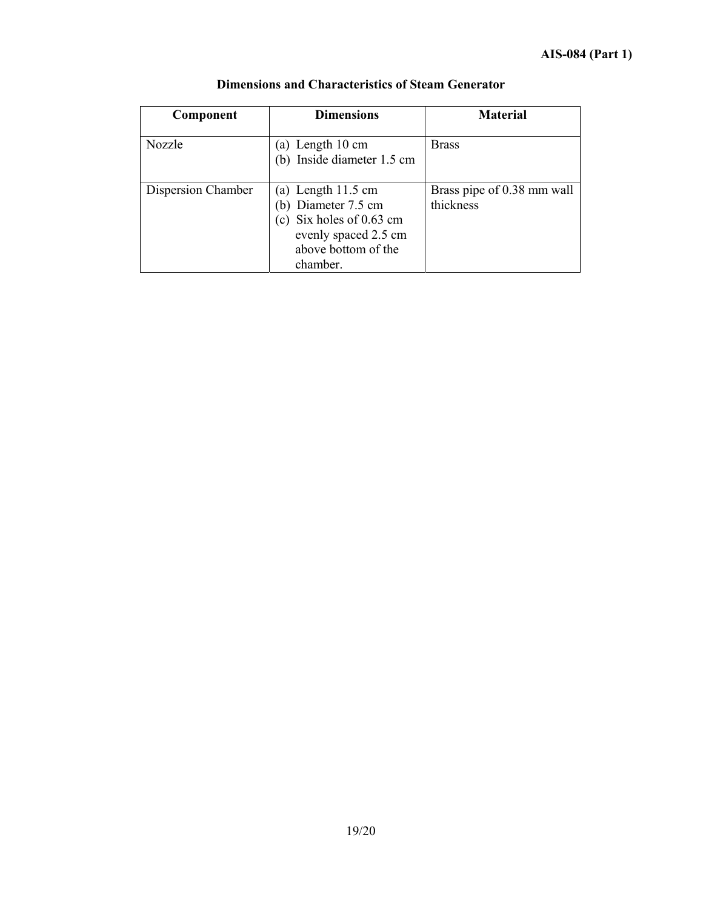| Component          | <b>Dimensions</b>                                                                                                                            | <b>Material</b>                         |
|--------------------|----------------------------------------------------------------------------------------------------------------------------------------------|-----------------------------------------|
| Nozzle             | (a) Length $10 \text{ cm}$<br>(b) Inside diameter 1.5 cm                                                                                     | <b>Brass</b>                            |
| Dispersion Chamber | (a) Length $11.5 \text{ cm}$<br>(b) Diameter 7.5 cm<br>(c) Six holes of $0.63$ cm<br>evenly spaced 2.5 cm<br>above bottom of the<br>chamber. | Brass pipe of 0.38 mm wall<br>thickness |

# **Dimensions and Characteristics of Steam Generator**